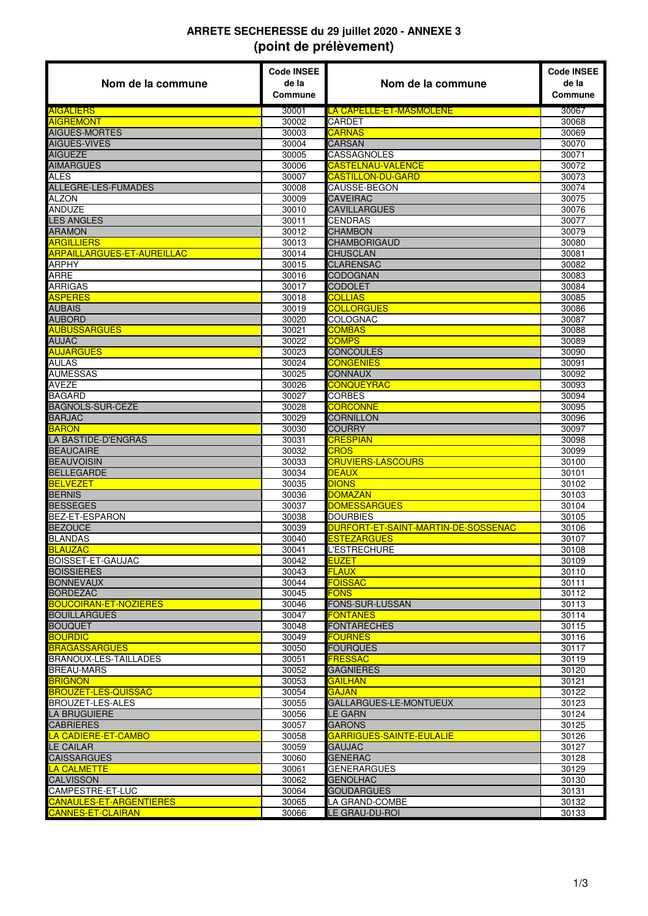## **ARRETE SECHERESSE du 29 juillet 2020 - ANNEXE 3 (point de prélèvement)**

| Nom de la commune                            | <b>Code INSEE</b><br>de la<br>Commune | Nom de la commune                                    | <b>Code INSEE</b><br>de la<br>Commune |
|----------------------------------------------|---------------------------------------|------------------------------------------------------|---------------------------------------|
| <b>AIGALIERS</b>                             | 30001                                 | LA CAPELLE-ET-MASMOLENE                              | 30067                                 |
| <b>AIGREMONT</b>                             | 30002                                 | CARDET                                               | 30068                                 |
| AIGUES-MORTES                                | 30003                                 | <b>CARNAS</b>                                        | 30069                                 |
| <b>AIGUES-VIVES</b>                          | 30004                                 | <b>CARSAN</b>                                        | 30070                                 |
| <b>AIGUEZE</b>                               | 30005                                 | CASSAGNOLES                                          | 30071                                 |
| <b>AIMARGUES</b><br><b>ALES</b>              | 30006<br>30007                        | <b>CASTELNAU-VALENCE</b><br><b>CASTILLON-DU-GARD</b> | 30072<br>30073                        |
| <b>ALLEGRE-LES-FUMADES</b>                   | 30008                                 | CAUSSE-BEGON                                         | 30074                                 |
| <b>ALZON</b>                                 | 30009                                 | <b>CAVEIRAC</b>                                      | 30075                                 |
| <b>ANDUZE</b>                                | 30010                                 | <b>CAVILLARGUES</b>                                  | 30076                                 |
| <b>LES ANGLES</b>                            | 30011                                 | <b>CENDRAS</b>                                       | 30077                                 |
| <b>ARAMON</b>                                | 30012                                 | <b>CHAMBON</b>                                       | 30079                                 |
| <b>ARGILLIERS</b>                            | 30013                                 | <b>CHAMBORIGAUD</b>                                  | 30080                                 |
| <b>ARPAILLARGUES-ET-AUREILLAC</b>            | 30014                                 | <b>CHUSCLAN</b>                                      | 30081                                 |
| ARPHY                                        | 30015                                 | <b>CLARENSAC</b>                                     | 30082                                 |
| <b>ARRE</b>                                  | 30016                                 | CODOGNAN                                             | 30083                                 |
| <b>ARRIGAS</b><br><b>ASPERES</b>             | 30017<br>30018                        | <b>CODOLET</b><br><b>COLLIAS</b>                     | 30084<br>30085                        |
| <b>AUBAIS</b>                                | 30019                                 | <b>COLLORGUES</b>                                    | 30086                                 |
| <b>AUBORD</b>                                | 30020                                 | COLOGNAC                                             | 30087                                 |
| <b>AUBUSSARGUES</b>                          | 30021                                 | <b>COMBAS</b>                                        | 30088                                 |
| AUJAC                                        | 30022                                 | <b>COMPS</b>                                         | 30089                                 |
| <b>AUJARGUES</b>                             | 30023                                 | <b>CONCOULES</b>                                     | 30090                                 |
| <b>AULAS</b>                                 | 30024                                 | <b>CONGENIES</b>                                     | 30091                                 |
| <b>AUMESSAS</b>                              | 30025                                 | <b>CONNAUX</b>                                       | 30092                                 |
| <b>AVEZE</b>                                 | 30026                                 | <b>CONQUEYRAC</b>                                    | 30093                                 |
| <b>BAGARD</b>                                | 30027                                 | <b>CORBES</b>                                        | 30094                                 |
| <b>BAGNOLS-SUR-CEZE</b>                      | 30028                                 | <b>CORCONNE</b>                                      | 30095                                 |
| <b>BARJAC</b>                                | 30029                                 | <b>CORNILLON</b>                                     | 30096                                 |
| <b>BARON</b><br>LA BASTIDE-D'ENGRAS          | 30030<br>30031                        | <b>COURRY</b><br><b>CRESPIAN</b>                     | 30097<br>30098                        |
| <b>BEAUCAIRE</b>                             | 30032                                 | <b>CROS</b>                                          | 30099                                 |
| <b>BEAUVOISIN</b>                            | 30033                                 | <b>CRUVIERS-LASCOURS</b>                             | 30100                                 |
| <b>BELLEGARDE</b>                            | 30034                                 | <u>DEAUX</u>                                         | 30101                                 |
| <b>BELVEZET</b>                              | 30035                                 | <b>DIONS</b>                                         | 30102                                 |
| <b>BERNIS</b>                                | 30036                                 | <b>DOMAZAN</b>                                       | 30103                                 |
| <b>BESSEGES</b>                              | 30037                                 | <b>DOMESSARGUES</b>                                  | 30104                                 |
| BEZ-ET-ESPARON                               | 30038                                 | <b>DOURBIES</b>                                      | 30105                                 |
| <b>BEZOUCE</b>                               | 30039                                 | DURFORT-ET-SAINT-MARTIN-DE-SOSSENAC                  | 30106                                 |
| <b>BLANDAS</b>                               | 30040                                 | <b>ESTEZARGUES</b>                                   | 30107                                 |
| <b>BLAUZAC</b><br><b>BOISSET-ET-GAUJAC</b>   | 30041<br>30042                        | L'ESTRECHURE<br>EUZET                                | 30108<br>30109                        |
| <b>BOISSIERES</b>                            | 30043                                 | <b>FLAUX</b>                                         | 30110                                 |
| <b>BONNEVAUX</b>                             | 30044                                 | <b>FOISSAC</b>                                       | 30111                                 |
| <b>BORDEZAC</b>                              | 30045                                 | <b>FONS</b>                                          | 30112                                 |
| <b>BOUCOIRAN-ET-NOZIERES</b>                 | 30046                                 | FONS-SUR-LUSSAN                                      | 30113                                 |
| <b>BOUILLARGUES</b>                          | 30047                                 | <b>FONTANES</b>                                      | 30114                                 |
| <b>BOUQUET</b>                               | 30048                                 | FONTARECHES                                          | 30115                                 |
| <b>BOURDIC</b>                               | 30049                                 | <b>FOURNES</b>                                       | 30116                                 |
| <b>BRAGASSARGUES</b>                         | 30050                                 | <b>FOURQUES</b>                                      | 30117                                 |
| <b>BRANOUX-LES-TAILLADES</b>                 | 30051                                 | <b>FRESSAC</b>                                       | 30119                                 |
| <b>BREAU-MARS</b>                            | 30052                                 | <b>GAGNIERES</b>                                     | 30120                                 |
| <b>BRIGNON</b><br><b>BROUZET-LES-QUISSAC</b> | 30053<br>30054                        | GAILHAN<br><b>GAJAN</b>                              | 30121<br>30122                        |
| <b>BROUZET-LES-ALES</b>                      | 30055                                 | GALLARGUES-LE-MONTUEUX                               | 30123                                 |
| LA BRUGUIERE                                 | 30056                                 | LE GARN                                              | 30124                                 |
| <b>CABRIERES</b>                             | 30057                                 | GARONS                                               | 30125                                 |
| LA CADIERE-ET-CAMBO                          | 30058                                 | GARRIGUES-SAINTE-EULALIE                             | 30126                                 |
| <b>LE CAILAR</b>                             | 30059                                 | GAUJAC                                               | 30127                                 |
| <b>CAISSARGUES</b>                           | 30060                                 | <b>GENERAC</b>                                       | 30128                                 |
| <b>LA CALMETTE</b>                           | 30061                                 | <b>GENERARGUES</b>                                   | 30129                                 |
| <b>CALVISSON</b>                             | 30062                                 | <b>GENOLHAC</b>                                      | 30130                                 |
| CAMPESTRE-ET-LUC                             | 30064                                 | GOUDARGUES                                           | 30131                                 |
| <b>CANAULES-ET-ARGENTIERES</b>               | 30065                                 | LA GRAND-COMBE                                       | 30132                                 |
| <b>CANNES-ET-CLAIRAN</b>                     | 30066                                 | LE GRAU-DU-ROI                                       | 30133                                 |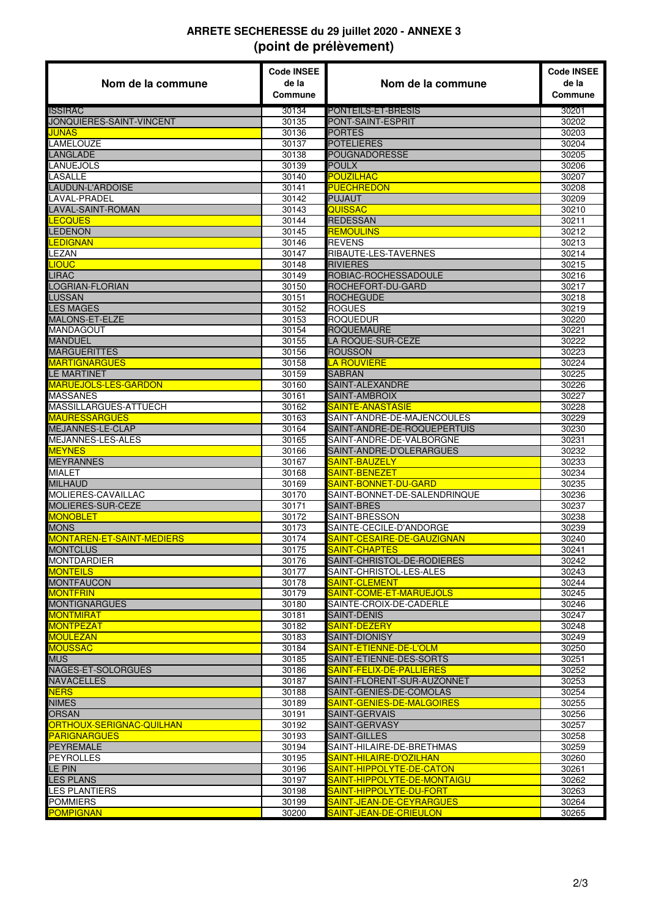## **ARRETE SECHERESSE du 29 juillet 2020 - ANNEXE 3 (point de prélèvement)**

| Nom de la commune                 | <b>Code INSEE</b><br>de la<br>Commune | Nom de la commune                                       | <b>Code INSEE</b><br>de la<br>Commune |
|-----------------------------------|---------------------------------------|---------------------------------------------------------|---------------------------------------|
| <b>ISSIRAC</b>                    | 30134                                 | PONTEILS-ET-BRESIS                                      | 30201                                 |
| JONQUIERES-SAINT-VINCENT          | 30135                                 | PONT-SAINT-ESPRIT                                       | 30202                                 |
| JUNAS                             | 30136                                 | <b>PORTES</b>                                           | 30203                                 |
| LAMELOUZE                         | 30137                                 | <b>POTELIERES</b>                                       | 30204                                 |
| <b>LANGLADE</b>                   | 30138                                 | POUGNADORESSE                                           | 30205                                 |
| LANUEJOLS                         | 30139                                 | <b>POULX</b>                                            | 30206                                 |
| LASALLE                           | 30140                                 | <b>POUZILHAC</b>                                        | 30207                                 |
| LAUDUN-L'ARDOISE                  | 30141                                 | <b>PUECHREDON</b>                                       | 30208                                 |
| LAVAL-PRADEL                      | 30142                                 | <b>PUJAUT</b>                                           | 30209                                 |
| <b>LAVAL-SAINT-ROMAN</b>          | 30143                                 | QUISSAC                                                 | 30210                                 |
| <b>LECQUES</b>                    | 30144                                 | <b>REDESSAN</b>                                         | 30211                                 |
| <b>LEDENON</b><br><b>LEDIGNAN</b> | 30145<br>30146                        | <b>REMOULINS</b><br><b>REVENS</b>                       | 30212<br>30213                        |
| LEZAN                             | 30147                                 | RIBAUTE-LES-TAVERNES                                    | 30214                                 |
| <b>LIOUC</b>                      | 30148                                 | <b>RIVIERES</b>                                         | 30215                                 |
| <b>LIRAC</b>                      | 30149                                 | ROBIAC-ROCHESSADOULE                                    | 30216                                 |
| LOGRIAN-FLORIAN                   | 30150                                 | ROCHEFORT-DU-GARD                                       | 30217                                 |
| LUSSAN                            | 30151                                 | <b>ROCHEGUDE</b>                                        | 30218                                 |
| <b>LES MAGES</b>                  | 30152                                 | <b>ROGUES</b>                                           | 30219                                 |
| MALONS-ET-ELZE                    | 30153                                 | <b>ROQUEDUR</b>                                         | 30220                                 |
| MANDAGOUT                         | 30154                                 | <b>ROQUEMAURE</b>                                       | 30221                                 |
| MANDUEL                           | 30155                                 | LA ROQUE-SUR-CEZE                                       | 30222                                 |
| <b>MARGUERITTES</b>               | 30156                                 | <b>ROUSSON</b>                                          | 30223                                 |
| <b>MARTIGNARGUES</b>              | 30158                                 | <b>LA ROUVIERE</b>                                      | 30224                                 |
| <b>LE MARTINET</b>                | 30159                                 | <b>SABRAN</b>                                           | 30225                                 |
| <b>MARUEJOLS-LES-GARDON</b>       | 30160                                 | SAINT-ALEXANDRE                                         | 30226                                 |
| <b>MASSANES</b>                   | 30161                                 | SAINT-AMBROIX                                           | 30227                                 |
| MASSILLARGUES-ATTUECH             | 30162                                 | SAINTE-ANASTASIE                                        | 30228                                 |
| <b>MAURESSARGUES</b>              | 30163                                 | SAINT-ANDRE-DE-MAJENCOULES                              | 30229                                 |
| MEJANNES-LE-CLAP                  | 30164                                 | SAINT-ANDRE-DE-ROQUEPERTUIS                             | 30230                                 |
| MEJANNES-LES-ALES                 | 30165                                 | SAINT-ANDRE-DE-VALBORGNE                                | 30231                                 |
| <b>MEYNES</b>                     | 30166                                 | SAINT-ANDRE-D'OLERARGUES                                | 30232                                 |
| <b>MEYRANNES</b>                  | 30167                                 | SAINT-BAUZELY                                           | 30233                                 |
| MIALET                            | 30168                                 | SAINT-BENEZET                                           | 30234                                 |
| <b>MILHAUD</b>                    | 30169                                 | SAINT-BONNET-DU-GARD                                    | 30235                                 |
| MOLIERES-CAVAILLAC                | 30170                                 | SAINT-BONNET-DE-SALENDRINQUE                            | 30236                                 |
| MOLIERES-SUR-CEZE                 | 30171                                 | SAINT-BRES                                              | 30237                                 |
| <u>MONOBLET</u><br><b>MONS</b>    | 30172<br>30173                        | SAINT-BRESSON<br>SAINTE-CECILE-D'ANDORGE                | 30238<br>30239                        |
| <b>MONTAREN-ET-SAINT-MEDIERS</b>  | 30174                                 | SAINT-CESAIRE-DE-GAUZIGNAN                              | 30240                                 |
| <b>MONTCLUS</b>                   | 30175                                 | SAINT-CHAPTES                                           | 30241                                 |
| MONTDARDIER                       | 30176                                 | SAINT-CHRISTOL-DE-RODIERES                              | 30242                                 |
| <b>MONTEILS</b>                   | 30177                                 | SAINT-CHRISTOL-LES-ALES                                 | 30243                                 |
| <b>MONTFAUCON</b>                 | 30178                                 | SAINT-CLEMENT                                           | 30244                                 |
| <b>MONTFRIN</b>                   | 30179                                 | SAINT-COME-ET-MARUEJOLS                                 | 30245                                 |
| <b>MONTIGNARGUES</b>              | 30180                                 | SAINTE-CROIX-DE-CADERLE                                 | 30246                                 |
| <b>MONTMIRAT</b>                  | 30181                                 | SAINT-DENIS                                             | 30247                                 |
| MONTPEZAT                         | 30182                                 | SAINT-DEZERY                                            | 30248                                 |
| <b>MOULEZAN</b>                   | 30183                                 | SAINT-DIONISY                                           | 30249                                 |
| <b>MOUSSAC</b>                    | 30184                                 | SAINT-ETIENNE-DE-L'OLM                                  | 30250                                 |
| <b>MUS</b>                        | 30185                                 | SAINT-ETIENNE-DES-SORTS                                 | 30251                                 |
| NAGES-ET-SOLORGUES                | 30186                                 | SAINT-FELIX-DE-PALLIERES                                | 30252                                 |
| <b>NAVACELLES</b>                 | 30187                                 | SAINT-FLORENT-SUR-AUZONNET                              | 30253                                 |
| <b>NERS</b>                       | 30188                                 | SAINT-GENIES-DE-COMOLAS                                 | 30254                                 |
| <b>NIMES</b>                      | 30189                                 | SAINT-GENIES-DE-MALGOIRES                               | 30255                                 |
| <b>ORSAN</b>                      | 30191                                 | SAINT-GERVAIS                                           | 30256                                 |
| ORTHOUX-SERIGNAC-QUILHAN          | 30192                                 | SAINT-GERVASY                                           | 30257                                 |
| <b>PARIGNARGUES</b>               | 30193                                 | <b>SAINT-GILLES</b>                                     | 30258                                 |
| <b>PEYREMALE</b>                  | 30194                                 | SAINT-HILAIRE-DE-BRETHMAS                               | 30259                                 |
| <b>PEYROLLES</b>                  | 30195                                 | SAINT-HILAIRE-D'OZILHAN                                 | 30260                                 |
| LE PIN<br><b>LES PLANS</b>        | 30196                                 | SAINT-HIPPOLYTE-DE-CATON<br>SAINT-HIPPOLYTE-DE-MONTAIGU | 30261                                 |
| LES PLANTIERS                     | 30197<br>30198                        | <u>SAINT-HIPPOLYTE-DU-FORT</u>                          | 30262<br>30263                        |
| <b>POMMIERS</b>                   | 30199                                 | SAINT-JEAN-DE-CEYRARGUES                                | 30264                                 |
| <b>POMPIGNAN</b>                  | 30200                                 | SAINT-JEAN-DE-CRIEULON                                  | 30265                                 |
|                                   |                                       |                                                         |                                       |